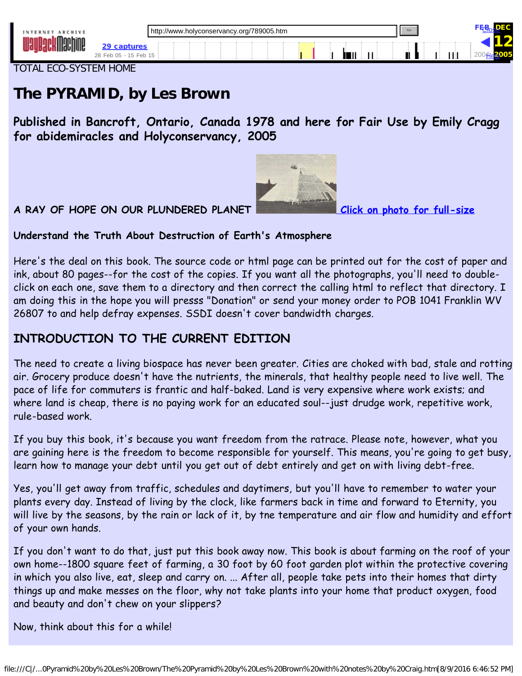ÌШ.

<span id="page-0-0"></span>TOTAL ECO-SYSTEM HOME

# **The PYRAMID, by Les Brown**

[29 captures](https://web.archive.org/web/20051212110816*/http://www.holyconservancy.org/789005.htm)

**Published in Bancroft, Ontario, Canada 1978 and here for Fair Use by Emily Cragg for abidemiracles and Holyconservancy, 2005**



**A RAY OF HOPE ON OUR PLUNDERED PLANET [Click on photo for full-size](https://web.archive.org/web/20051212110816/http://www.holyconservancy.org/images/pyramids/Brownspyramid.jpg)**

[FEB](https://web.archive.org/web/20050228112209/http://www.holyconservancy.org/789005.htm)<sub>os</sub>DEC

<u>[Help](http://faq.web.archive.org/)</u>

<u>[Close](#page-0-0)</u>

12 200He<sup>2</sup>005

#### **Understand the Truth About Destruction of Earth's Atmosphere**

Here's the deal on this book. The source code or html page can be printed out for the cost of paper and ink, about 80 pages--for the cost of the copies. If you want all the photographs, you'll need to doubleclick on each one, save them to a directory and then correct the calling html to reflect that directory. I am doing this in the hope you will presss "Donation" or send your money order to POB 1041 Franklin WV 26807 to and help defray expenses. SSDI doesn't cover bandwidth charges.

# **INTRODUCTION TO THE CURRENT EDITION**

The need to create a living biospace has never been greater. Cities are choked with bad, stale and rotting air. Grocery produce doesn't have the nutrients, the minerals, that healthy people need to live well. The pace of life for commuters is frantic and half-baked. Land is very expensive where work exists; and where land is cheap, there is no paying work for an educated soul--just drudge work, repetitive work, rule-based work.

If you buy this book, it's because you want freedom from the ratrace. Please note, however, what you are gaining here is the freedom to become responsible for yourself. This means, you're going to get busy, learn how to manage your debt until you get out of debt entirely and get on with living debt-free.

Yes, you'll get away from traffic, schedules and daytimers, but you'll have to remember to water your plants every day. Instead of living by the clock, like farmers back in time and forward to Eternity, you will live by the seasons, by the rain or lack of it, by tne temperature and air flow and humidity and effort of your own hands.

If you don't want to do that, just put this book away now. This book is about farming on the roof of your own home--1800 square feet of farming, a 30 foot by 60 foot garden plot within the protective covering in which you also live, eat, sleep and carry on. ... After all, people take pets into their homes that dirty things up and make messes on the floor, why not take plants into your home that product oxygen, food and beauty and don't chew on your slippers?

Now, think about this for a while!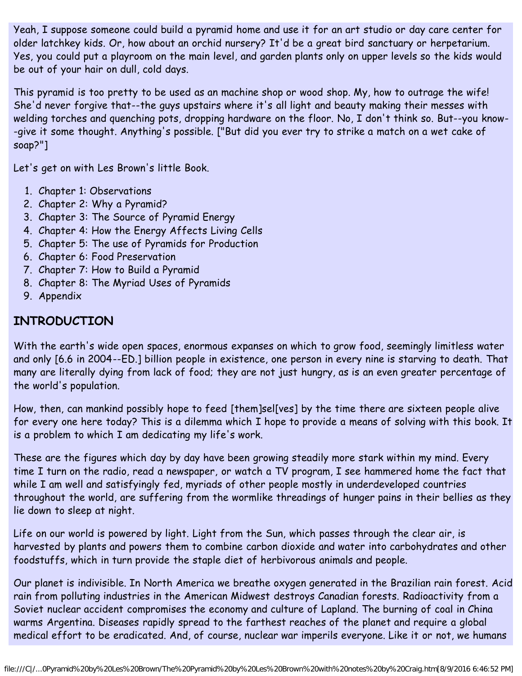Yeah, I suppose someone could build a pyramid home and use it for an art studio or day care center for older latchkey kids. Or, how about an orchid nursery? It'd be a great bird sanctuary or herpetarium. Yes, you could put a playroom on the main level, and garden plants only on upper levels so the kids would be out of your hair on dull, cold days.

This pyramid is too pretty to be used as an machine shop or wood shop. My, how to outrage the wife! She'd never forgive that--the guys upstairs where it's all light and beauty making their messes with welding torches and quenching pots, dropping hardware on the floor. No, I don't think so. But--you know- -give it some thought. Anything's possible. ["But did you ever try to strike a match on a wet cake of soap?"]

Let's get on with Les Brown's little Book.

- 1. Chapter 1: Observations
- 2. Chapter 2: Why a Pyramid?
- 3. Chapter 3: The Source of Pyramid Energy
- 4. Chapter 4: How the Energy Affects Living Cells
- 5. Chapter 5: The use of Pyramids for Production
- 6. Chapter 6: Food Preservation
- 7. Chapter 7: How to Build a Pyramid
- 8. Chapter 8: The Myriad Uses of Pyramids
- 9. Appendix

# **INTRODUCTION**

With the earth's wide open spaces, enormous expanses on which to grow food, seemingly limitless water and only [6.6 in 2004--ED.] billion people in existence, one person in every nine is starving to death. That many are literally dying from lack of food; they are not just hungry, as is an even greater percentage of the world's population.

How, then, can mankind possibly hope to feed [them]sel[ves] by the time there are sixteen people alive for every one here today? This is a dilemma which I hope to provide a means of solving with this book. It is a problem to which I am dedicating my life's work.

These are the figures which day by day have been growing steadily more stark within my mind. Every time I turn on the radio, read a newspaper, or watch a TV program, I see hammered home the fact that while I am well and satisfyingly fed, myriads of other people mostly in underdeveloped countries throughout the world, are suffering from the wormlike threadings of hunger pains in their bellies as they lie down to sleep at night.

Life on our world is powered by light. Light from the Sun, which passes through the clear air, is harvested by plants and powers them to combine carbon dioxide and water into carbohydrates and other foodstuffs, which in turn provide the staple diet of herbivorous animals and people.

Our planet is indivisible. In North America we breathe oxygen generated in the Brazilian rain forest. Acid rain from polluting industries in the American Midwest destroys Canadian forests. Radioactivity from a Soviet nuclear accident compromises the economy and culture of Lapland. The burning of coal in China warms Argentina. Diseases rapidly spread to the farthest reaches of the planet and require a global medical effort to be eradicated. And, of course, nuclear war imperils everyone. Like it or not, we humans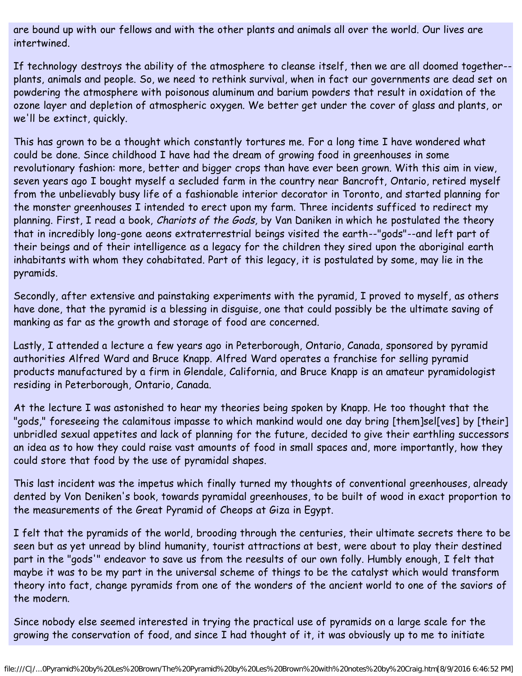are bound up with our fellows and with the other plants and animals all over the world. Our lives are intertwined.

If technology destroys the ability of the atmosphere to cleanse itself, then we are all doomed together- plants, animals and people. So, we need to rethink survival, when in fact our governments are dead set on powdering the atmosphere with poisonous aluminum and barium powders that result in oxidation of the ozone layer and depletion of atmospheric oxygen. We better get under the cover of glass and plants, or we'll be extinct, quickly.

This has grown to be a thought which constantly tortures me. For a long time I have wondered what could be done. Since childhood I have had the dream of growing food in greenhouses in some revolutionary fashion: more, better and bigger crops than have ever been grown. With this aim in view, seven years ago I bought myself a secluded farm in the country near Bancroft, Ontario, retired myself from the unbelievably busy life of a fashionable interior decorator in Toronto, and started planning for the monster greenhouses I intended to erect upon my farm. Three incidents sufficed to redirect my planning. First, I read a book, Chariots of the Gods, by Van Daniken in which he postulated the theory that in incredibly long-gone aeons extraterrestrial beings visited the earth--"gods"--and left part of their beings and of their intelligence as a legacy for the children they sired upon the aboriginal earth inhabitants with whom they cohabitated. Part of this legacy, it is postulated by some, may lie in the pyramids.

Secondly, after extensive and painstaking experiments with the pyramid, I proved to myself, as others have done, that the pyramid is a blessing in disguise, one that could possibly be the ultimate saving of manking as far as the growth and storage of food are concerned.

Lastly, I attended a lecture a few years ago in Peterborough, Ontario, Canada, sponsored by pyramid authorities Alfred Ward and Bruce Knapp. Alfred Ward operates a franchise for selling pyramid products manufactured by a firm in Glendale, California, and Bruce Knapp is an amateur pyramidologist residing in Peterborough, Ontario, Canada.

At the lecture I was astonished to hear my theories being spoken by Knapp. He too thought that the "gods," foreseeing the calamitous impasse to which mankind would one day bring [them]sel[ves] by [their] unbridled sexual appetites and lack of planning for the future, decided to give their earthling successors an idea as to how they could raise vast amounts of food in small spaces and, more importantly, how they could store that food by the use of pyramidal shapes.

This last incident was the impetus which finally turned my thoughts of conventional greenhouses, already dented by Von Deniken's book, towards pyramidal greenhouses, to be built of wood in exact proportion to the measurements of the Great Pyramid of Cheops at Giza in Egypt.

I felt that the pyramids of the world, brooding through the centuries, their ultimate secrets there to be seen but as yet unread by blind humanity, tourist attractions at best, were about to play their destined part in the "gods'" endeavor to save us from the reesults of our own folly. Humbly enough, I felt that maybe it was to be my part in the universal scheme of things to be the catalyst which would transform theory into fact, change pyramids from one of the wonders of the ancient world to one of the saviors of the modern.

Since nobody else seemed interested in trying the practical use of pyramids on a large scale for the growing the conservation of food, and since I had thought of it, it was obviously up to me to initiate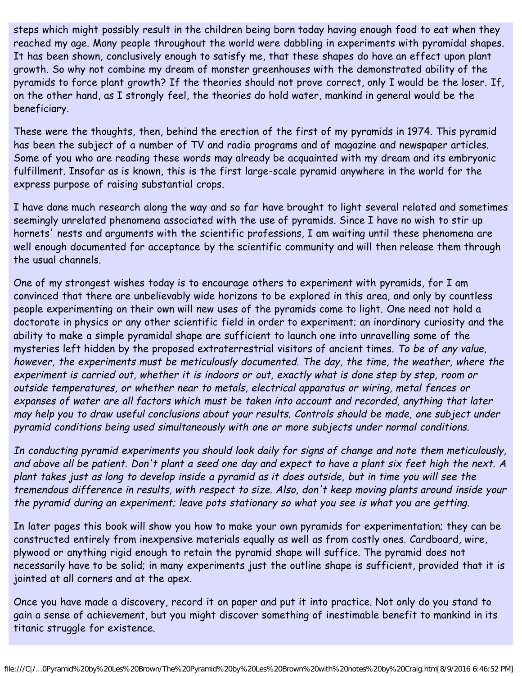steps which might possibly result in the children being born today having enough food to eat when they reached my age. Many people throughout the world were dabbling in experiments with pyramidal shapes. It has been shown, conclusively enough to satisfy me, that these shapes do have an effect upon plant growth. So why not combine my dream of monster greenhouses with the demonstrated ability of the pyramids to force plant growth? If the theories should not prove correct, only I would be the loser. If, on the other hand, as I strongly feel, the theories do hold water, mankind in general would be the beneficiary.

These were the thoughts, then, behind the erection of the first of my pyramids in 1974. This pyramid has been the subject of a number of TV and radio programs and of magazine and newspaper articles. Some of you who are reading these words may already be acquainted with my dream and its embryonic fulfillment. Insofar as is known, this is the first large-scale pyramid anywhere in the world for the express purpose of raising substantial crops.

I have done much research along the way and so far have brought to light several related and sometimes seemingly unrelated phenomena associated with the use of pyramids. Since I have no wish to stir up hornets' nests and arguments with the scientific professions, I am waiting until these phenomena are well enough documented for acceptance by the scientific community and will then release them through the usual channels.

One of my strongest wishes today is to encourage others to experiment with pyramids, for I am convinced that there are unbelievably wide horizons to be explored in this area, and only by countless people experimenting on their own will new uses of the pyramids come to light. One need not hold a doctorate in physics or any other scientific field in order to experiment; an inordinary curiosity and the ability to make a simple pyramidal shape are sufficient to launch one into unravelling some of the mysteries left hidden by the proposed extraterrestrial visitors of ancient times. To be of any value, however, the experiments must be meticulously documented. The day, the time, the weather, where the experiment is carried out, whether it is indoors or out, exactly what is done step by step, room or outside temperatures, or whether near to metals, electrical apparatus or wiring, metal fences or expanses of water are all factors which must be taken into account and recorded, anything that later may help you to draw useful conclusions about your results. Controls should be made, one subject under pyramid conditions being used simultaneously with one or more subjects under normal conditions.

In conducting pyramid experiments you should look daily for signs of change and note them meticulously, and above all be patient. Don't plant a seed one day and expect to have a plant six feet high the next. A plant takes just as long to develop inside a pyramid as it does outside, but in time you will see the tremendous difference in results, with respect to size. Also, don't keep moving plants around inside your the pyramid during an experiment; leave pots stationary so what you see is what you are getting.

In later pages this book will show you how to make your own pyramids for experimentation; they can be constructed entirely from inexpensive materials equally as well as from costly ones. Cardboard, wire, plywood or anything rigid enough to retain the pyramid shape will suffice. The pyramid does not necessarily have to be solid; in many experiments just the outline shape is sufficient, provided that it is jointed at all corners and at the apex.

Once you have made a discovery, record it on paper and put it into practice. Not only do you stand to gain a sense of achievement, but you might discover something of inestimable benefit to mankind in its titanic struggle for existence.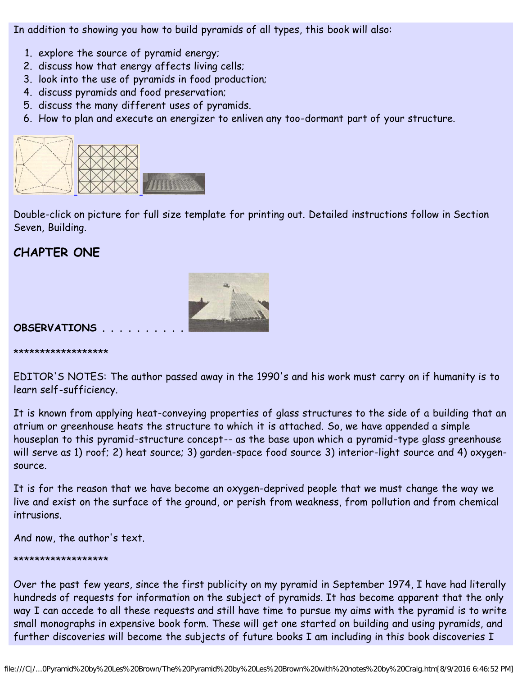In addition to showing you how to build pyramids of all types, this book will also:

- 1. explore the source of pyramid energy;
- 2. discuss how that energy affects living cells;
- 3. look into the use of pyramids in food production;
- 4. discuss pyramids and food preservation;
- 5. discuss the many different uses of pyramids.
- 6. How to plan and execute an energizer to enliven any too-dormant part of your structure.



Double-click on picture for full size template for printing out. Detailed instructions follow in Section Seven, Building.

# **CHAPTER ONE**



#### **OBSERVATIONS . . . . . . . . . .**

\*\*\*\*\*\*\*\*\*\*\*\*\*\*\*\*\*\*

EDITOR'S NOTES: The author passed away in the 1990's and his work must carry on if humanity is to learn self-sufficiency.

It is known from applying heat-conveying properties of glass structures to the side of a building that an atrium or greenhouse heats the structure to which it is attached. So, we have appended a simple houseplan to this pyramid-structure concept-- as the base upon which a pyramid-type glass greenhouse will serve as 1) roof; 2) heat source; 3) garden-space food source 3) interior-light source and 4) oxygensource.

It is for the reason that we have become an oxygen-deprived people that we must change the way we live and exist on the surface of the ground, or perish from weakness, from pollution and from chemical intrusions.

And now, the author's text.

#### \*\*\*\*\*\*\*\*\*\*\*\*\*\*\*\*\*\*

Over the past few years, since the first publicity on my pyramid in September 1974, I have had literally hundreds of requests for information on the subject of pyramids. It has become apparent that the only way I can accede to all these requests and still have time to pursue my aims with the pyramid is to write small monographs in expensive book form. These will get one started on building and using pyramids, and further discoveries will become the subjects of future books I am including in this book discoveries I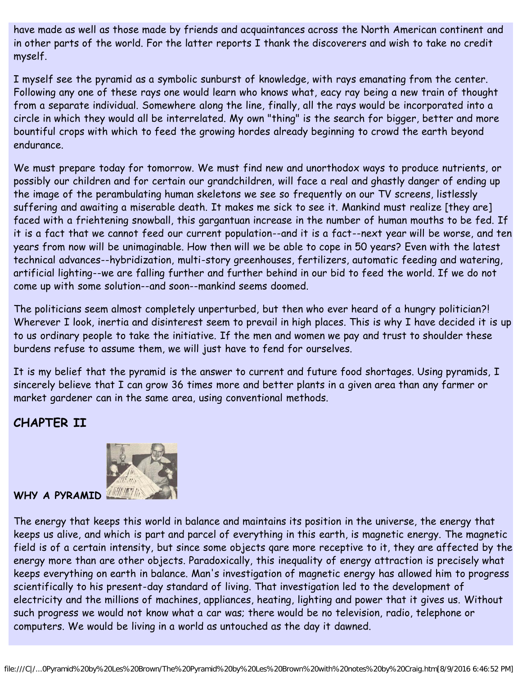have made as well as those made by friends and acquaintances across the North American continent and in other parts of the world. For the latter reports I thank the discoverers and wish to take no credit myself.

I myself see the pyramid as a symbolic sunburst of knowledge, with rays emanating from the center. Following any one of these rays one would learn who knows what, eacy ray being a new train of thought from a separate individual. Somewhere along the line, finally, all the rays would be incorporated into a circle in which they would all be interrelated. My own "thing" is the search for bigger, better and more bountiful crops with which to feed the growing hordes already beginning to crowd the earth beyond endurance.

We must prepare today for tomorrow. We must find new and unorthodox ways to produce nutrients, or possibly our children and for certain our grandchildren, will face a real and ghastly danger of ending up the image of the perambulating human skeletons we see so frequently on our TV screens, listlessly suffering and awaiting a miserable death. It makes me sick to see it. Mankind must realize [they are] faced with a friehtening snowball, this gargantuan increase in the number of human mouths to be fed. If it is a fact that we cannot feed our current population--and it is a fact--next year will be worse, and ten years from now will be unimaginable. How then will we be able to cope in 50 years? Even with the latest technical advances--hybridization, multi-story greenhouses, fertilizers, automatic feeding and watering, artificial lighting--we are falling further and further behind in our bid to feed the world. If we do not come up with some solution--and soon--mankind seems doomed.

The politicians seem almost completely unperturbed, but then who ever heard of a hungry politician?! Wherever I look, inertia and disinterest seem to prevail in high places. This is why I have decided it is up to us ordinary people to take the initiative. If the men and women we pay and trust to shoulder these burdens refuse to assume them, we will just have to fend for ourselves.

It is my belief that the pyramid is the answer to current and future food shortages. Using pyramids, I sincerely believe that I can grow 36 times more and better plants in a given area than any farmer or market gardener can in the same area, using conventional methods.

### **CHAPTER II**



### WHY A PYRAMID **WHY**

The energy that keeps this world in balance and maintains its position in the universe, the energy that keeps us alive, and which is part and parcel of everything in this earth, is magnetic energy. The magnetic field is of a certain intensity, but since some objects qare more receptive to it, they are affected by the energy more than are other objects. Paradoxically, this inequality of energy attraction is precisely what keeps everything on earth in balance. Man's investigation of magnetic energy has allowed him to progress scientifically to his present-day standard of living. That investigation led to the development of electricity and the millions of machines, appliances, heating, lighting and power that it gives us. Without such progress we would not know what a car was; there would be no television, radio, telephone or computers. We would be living in a world as untouched as the day it dawned.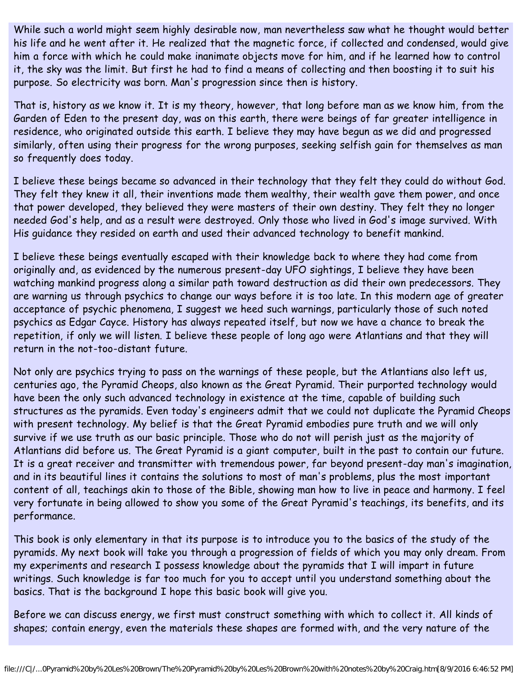While such a world might seem highly desirable now, man nevertheless saw what he thought would better his life and he went after it. He realized that the magnetic force, if collected and condensed, would give him a force with which he could make inanimate objects move for him, and if he learned how to control it, the sky was the limit. But first he had to find a means of collecting and then boosting it to suit his purpose. So electricity was born. Man's progression since then is history.

That is, history as we know it. It is my theory, however, that long before man as we know him, from the Garden of Eden to the present day, was on this earth, there were beings of far greater intelligence in residence, who originated outside this earth. I believe they may have begun as we did and progressed similarly, often using their progress for the wrong purposes, seeking selfish gain for themselves as man so frequently does today.

I believe these beings became so advanced in their technology that they felt they could do without God. They felt they knew it all, their inventions made them wealthy, their wealth gave them power, and once that power developed, they believed they were masters of their own destiny. They felt they no longer needed God's help, and as a result were destroyed. Only those who lived in God's image survived. With His guidance they resided on earth and used their advanced technology to benefit mankind.

I believe these beings eventually escaped with their knowledge back to where they had come from originally and, as evidenced by the numerous present-day UFO sightings, I believe they have been watching mankind progress along a similar path toward destruction as did their own predecessors. They are warning us through psychics to change our ways before it is too late. In this modern age of greater acceptance of psychic phenomena, I suggest we heed such warnings, particularly those of such noted psychics as Edgar Cayce. History has always repeated itself, but now we have a chance to break the repetition, if only we will listen. I believe these people of long ago were Atlantians and that they will return in the not-too-distant future.

Not only are psychics trying to pass on the warnings of these people, but the Atlantians also left us, centuries ago, the Pyramid Cheops, also known as the Great Pyramid. Their purported technology would have been the only such advanced technology in existence at the time, capable of building such structures as the pyramids. Even today's engineers admit that we could not duplicate the Pyramid Cheops with present technology. My belief is that the Great Pyramid embodies pure truth and we will only survive if we use truth as our basic principle. Those who do not will perish just as the majority of Atlantians did before us. The Great Pyramid is a giant computer, built in the past to contain our future. It is a great receiver and transmitter with tremendous power, far beyond present-day man's imagination, and in its beautiful lines it contains the solutions to most of man's problems, plus the most important content of all, teachings akin to those of the Bible, showing man how to live in peace and harmony. I feel very fortunate in being allowed to show you some of the Great Pyramid's teachings, its benefits, and its performance.

This book is only elementary in that its purpose is to introduce you to the basics of the study of the pyramids. My next book will take you through a progression of fields of which you may only dream. From my experiments and research I possess knowledge about the pyramids that I will impart in future writings. Such knowledge is far too much for you to accept until you understand something about the basics. That is the background I hope this basic book will give you.

Before we can discuss energy, we first must construct something with which to collect it. All kinds of shapes; contain energy, even the materials these shapes are formed with, and the very nature of the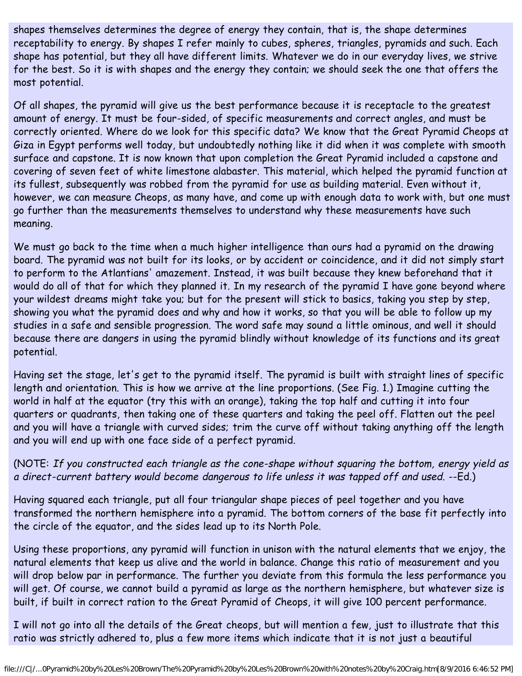shapes themselves determines the degree of energy they contain, that is, the shape determines receptability to energy. By shapes I refer mainly to cubes, spheres, triangles, pyramids and such. Each shape has potential, but they all have different limits. Whatever we do in our everyday lives, we strive for the best. So it is with shapes and the energy they contain; we should seek the one that offers the most potential.

Of all shapes, the pyramid will give us the best performance because it is receptacle to the greatest amount of energy. It must be four-sided, of specific measurements and correct angles, and must be correctly oriented. Where do we look for this specific data? We know that the Great Pyramid Cheops at Giza in Egypt performs well today, but undoubtedly nothing like it did when it was complete with smooth surface and capstone. It is now known that upon completion the Great Pyramid included a capstone and covering of seven feet of white limestone alabaster. This material, which helped the pyramid function at its fullest, subsequently was robbed from the pyramid for use as building material. Even without it, however, we can measure Cheops, as many have, and come up with enough data to work with, but one must go further than the measurements themselves to understand why these measurements have such meaning.

We must go back to the time when a much higher intelligence than ours had a pyramid on the drawing board. The pyramid was not built for its looks, or by accident or coincidence, and it did not simply start to perform to the Atlantians' amazement. Instead, it was built because they knew beforehand that it would do all of that for which they planned it. In my research of the pyramid I have gone beyond where your wildest dreams might take you; but for the present will stick to basics, taking you step by step, showing you what the pyramid does and why and how it works, so that you will be able to follow up my studies in a safe and sensible progression. The word safe may sound a little ominous, and well it should because there are dangers in using the pyramid blindly without knowledge of its functions and its great potential.

Having set the stage, let's get to the pyramid itself. The pyramid is built with straight lines of specific length and orientation. This is how we arrive at the line proportions. (See Fig. 1.) Imagine cutting the world in half at the equator (try this with an orange), taking the top half and cutting it into four quarters or quadrants, then taking one of these quarters and taking the peel off. Flatten out the peel and you will have a triangle with curved sides; trim the curve off without taking anything off the length and you will end up with one face side of a perfect pyramid.

(NOTE: If you constructed each triangle as the cone-shape without squaring the bottom, energy yield as a direct-current battery would become dangerous to life unless it was tapped off and used. --Ed.)

Having squared each triangle, put all four triangular shape pieces of peel together and you have transformed the northern hemisphere into a pyramid. The bottom corners of the base fit perfectly into the circle of the equator, and the sides lead up to its North Pole.

Using these proportions, any pyramid will function in unison with the natural elements that we enjoy, the natural elements that keep us alive and the world in balance. Change this ratio of measurement and you will drop below par in performance. The further you deviate from this formula the less performance you will get. Of course, we cannot build a pyramid as large as the northern hemisphere, but whatever size is built, if built in correct ration to the Great Pyramid of Cheops, it will give 100 percent performance.

I will not go into all the details of the Great cheops, but will mention a few, just to illustrate that this ratio was strictly adhered to, plus a few more items which indicate that it is not just a beautiful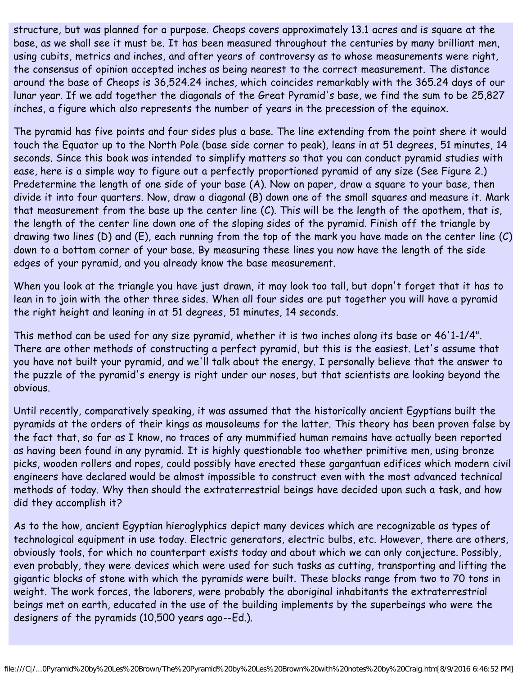structure, but was planned for a purpose. Cheops covers approximately 13.1 acres and is square at the base, as we shall see it must be. It has been measured throughout the centuries by many brilliant men, using cubits, metrics and inches, and after years of controversy as to whose measurements were right, the consensus of opinion accepted inches as being nearest to the correct measurement. The distance around the base of Cheops is 36,524.24 inches, which coincides remarkably with the 365.24 days of our lunar year. If we add together the diagonals of the Great Pyramid's base, we find the sum to be 25,827 inches, a figure which also represents the number of years in the precession of the equinox.

The pyramid has five points and four sides plus a base. The line extending from the point shere it would touch the Equator up to the North Pole (base side corner to peak), leans in at 51 degrees, 51 minutes, 14 seconds. Since this book was intended to simplify matters so that you can conduct pyramid studies with ease, here is a simple way to figure out a perfectly proportioned pyramid of any size (See Figure 2.) Predetermine the length of one side of your base (A). Now on paper, draw a square to your base, then divide it into four quarters. Now, draw a diagonal (B) down one of the small squares and measure it. Mark that measurement from the base up the center line (C). This will be the length of the apothem, that is, the length of the center line down one of the sloping sides of the pyramid. Finish off the triangle by drawing two lines (D) and (E), each running from the top of the mark you have made on the center line (C) down to a bottom corner of your base. By measuring these lines you now have the length of the side edges of your pyramid, and you already know the base measurement.

When you look at the triangle you have just drawn, it may look too tall, but dopn't forget that it has to lean in to join with the other three sides. When all four sides are put together you will have a pyramid the right height and leaning in at 51 degrees, 51 minutes, 14 seconds.

This method can be used for any size pyramid, whether it is two inches along its base or 46'1-1/4". There are other methods of constructing a perfect pyramid, but this is the easiest. Let's assume that you have not built your pyramid, and we'll talk about the energy. I personally believe that the answer to the puzzle of the pyramid's energy is right under our noses, but that scientists are looking beyond the obvious.

Until recently, comparatively speaking, it was assumed that the historically ancient Egyptians built the pyramids at the orders of their kings as mausoleums for the latter. This theory has been proven false by the fact that, so far as I know, no traces of any mummified human remains have actually been reported as having been found in any pyramid. It is highly questionable too whether primitive men, using bronze picks, wooden rollers and ropes, could possibly have erected these gargantuan edifices which modern civil engineers have declared would be almost impossible to construct even with the most advanced technical methods of today. Why then should the extraterrestrial beings have decided upon such a task, and how did they accomplish it?

As to the how, ancient Egyptian hieroglyphics depict many devices which are recognizable as types of technological equipment in use today. Electric generators, electric bulbs, etc. However, there are others, obviously tools, for which no counterpart exists today and about which we can only conjecture. Possibly, even probably, they were devices which were used for such tasks as cutting, transporting and lifting the gigantic blocks of stone with which the pyramids were built. These blocks range from two to 70 tons in weight. The work forces, the laborers, were probably the aboriginal inhabitants the extraterrestrial beings met on earth, educated in the use of the building implements by the superbeings who were the designers of the pyramids (10,500 years ago--Ed.).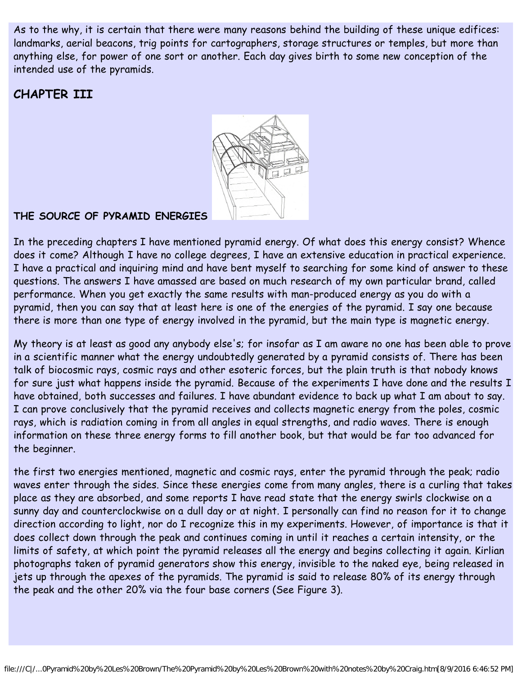As to the why, it is certain that there were many reasons behind the building of these unique edifices: landmarks, aerial beacons, trig points for cartographers, storage structures or temples, but more than anything else, for power of one sort or another. Each day gives birth to some new conception of the intended use of the pyramids.

### **CHAPTER III**



#### **THE SOURCE OF PYRAMID ENERGIES**

In the preceding chapters I have mentioned pyramid energy. Of what does this energy consist? Whence does it come? Although I have no college degrees, I have an extensive education in practical experience. I have a practical and inquiring mind and have bent myself to searching for some kind of answer to these questions. The answers I have amassed are based on much research of my own particular brand, called performance. When you get exactly the same results with man-produced energy as you do with a pyramid, then you can say that at least here is one of the energies of the pyramid. I say one because there is more than one type of energy involved in the pyramid, but the main type is magnetic energy.

My theory is at least as good any anybody else's; for insofar as I am aware no one has been able to prove in a scientific manner what the energy undoubtedly generated by a pyramid consists of. There has been talk of biocosmic rays, cosmic rays and other esoteric forces, but the plain truth is that nobody knows for sure just what happens inside the pyramid. Because of the experiments I have done and the results I have obtained, both successes and failures. I have abundant evidence to back up what I am about to say. I can prove conclusively that the pyramid receives and collects magnetic energy from the poles, cosmic rays, which is radiation coming in from all angles in equal strengths, and radio waves. There is enough information on these three energy forms to fill another book, but that would be far too advanced for the beginner.

the first two energies mentioned, magnetic and cosmic rays, enter the pyramid through the peak; radio waves enter through the sides. Since these energies come from many angles, there is a curling that takes place as they are absorbed, and some reports I have read state that the energy swirls clockwise on a sunny day and counterclockwise on a dull day or at night. I personally can find no reason for it to change direction according to light, nor do I recognize this in my experiments. However, of importance is that it does collect down through the peak and continues coming in until it reaches a certain intensity, or the limits of safety, at which point the pyramid releases all the energy and begins collecting it again. Kirlian photographs taken of pyramid generators show this energy, invisible to the naked eye, being released in jets up through the apexes of the pyramids. The pyramid is said to release 80% of its energy through the peak and the other 20% via the four base corners (See Figure 3).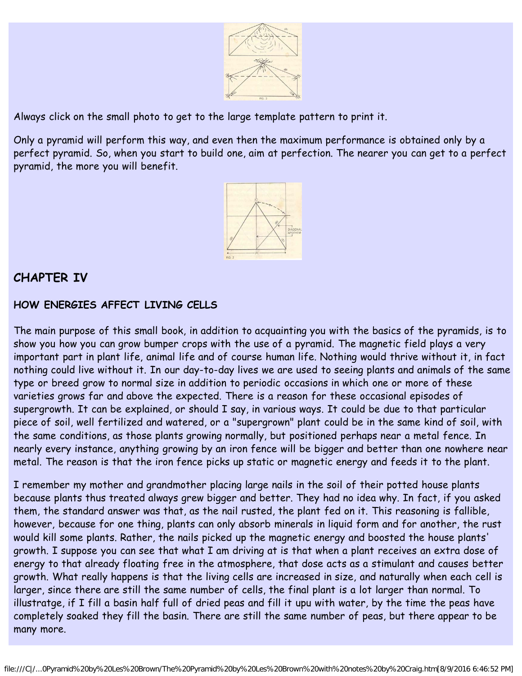

Always click on the small photo to get to the large template pattern to print it.

Only a pyramid will perform this way, and even then the maximum performance is obtained only by a perfect pyramid. So, when you start to build one, aim at perfection. The nearer you can get to a perfect pyramid, the more you will benefit.



### **CHAPTER IV**

#### **HOW ENERGIES AFFECT LIVING CELLS**

The main purpose of this small book, in addition to acquainting you with the basics of the pyramids, is to show you how you can grow bumper crops with the use of a pyramid. The magnetic field plays a very important part in plant life, animal life and of course human life. Nothing would thrive without it, in fact nothing could live without it. In our day-to-day lives we are used to seeing plants and animals of the same type or breed grow to normal size in addition to periodic occasions in which one or more of these varieties grows far and above the expected. There is a reason for these occasional episodes of supergrowth. It can be explained, or should I say, in various ways. It could be due to that particular piece of soil, well fertilized and watered, or a "supergrown" plant could be in the same kind of soil, with the same conditions, as those plants growing normally, but positioned perhaps near a metal fence. In nearly every instance, anything growing by an iron fence will be bigger and better than one nowhere near metal. The reason is that the iron fence picks up static or magnetic energy and feeds it to the plant.

I remember my mother and grandmother placing large nails in the soil of their potted house plants because plants thus treated always grew bigger and better. They had no idea why. In fact, if you asked them, the standard answer was that, as the nail rusted, the plant fed on it. This reasoning is fallible, however, because for one thing, plants can only absorb minerals in liquid form and for another, the rust would kill some plants. Rather, the nails picked up the magnetic energy and boosted the house plants' growth. I suppose you can see that what I am driving at is that when a plant receives an extra dose of energy to that already floating free in the atmosphere, that dose acts as a stimulant and causes better growth. What really happens is that the living cells are increased in size, and naturally when each cell is larger, since there are still the same number of cells, the final plant is a lot larger than normal. To illustratge, if I fill a basin half full of dried peas and fill it upu with water, by the time the peas have completely soaked they fill the basin. There are still the same number of peas, but there appear to be many more.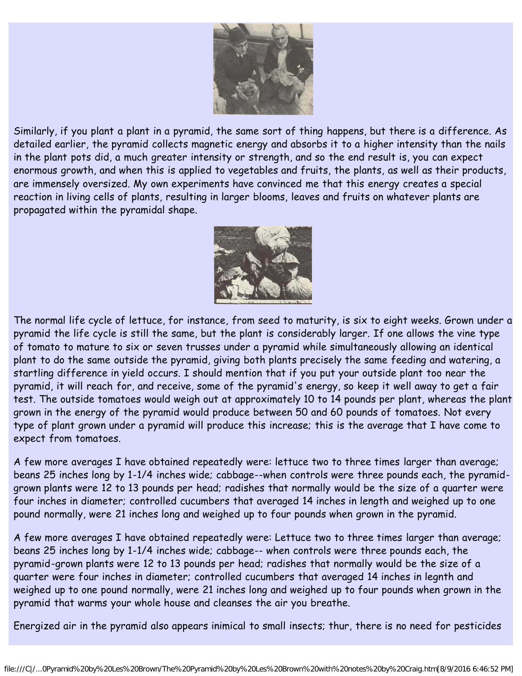

Similarly, if you plant a plant in a pyramid, the same sort of thing happens, but there is a difference. As detailed earlier, the pyramid collects magnetic energy and absorbs it to a higher intensity than the nails in the plant pots did, a much greater intensity or strength, and so the end result is, you can expect enormous growth, and when this is applied to vegetables and fruits, the plants, as well as their products, are immensely oversized. My own experiments have convinced me that this energy creates a special reaction in living cells of plants, resulting in larger blooms, leaves and fruits on whatever plants are propagated within the pyramidal shape.



The normal life cycle of lettuce, for instance, from seed to maturity, is six to eight weeks. Grown under a pyramid the life cycle is still the same, but the plant is considerably larger. If one allows the vine type of tomato to mature to six or seven trusses under a pyramid while simultaneously allowing an identical plant to do the same outside the pyramid, giving both plants precisely the same feeding and watering, a startling difference in yield occurs. I should mention that if you put your outside plant too near the pyramid, it will reach for, and receive, some of the pyramid's energy, so keep it well away to get a fair test. The outside tomatoes would weigh out at approximately 10 to 14 pounds per plant, whereas the plant grown in the energy of the pyramid would produce between 50 and 60 pounds of tomatoes. Not every type of plant grown under a pyramid will produce this increase; this is the average that I have come to expect from tomatoes.

A few more averages I have obtained repeatedly were: lettuce two to three times larger than average; beans 25 inches long by 1-1/4 inches wide; cabbage--when controls were three pounds each, the pyramidgrown plants were 12 to 13 pounds per head; radishes that normally would be the size of a quarter were four inches in diameter; controlled cucumbers that averaged 14 inches in length and weighed up to one pound normally, were 21 inches long and weighed up to four pounds when grown in the pyramid.

A few more averages I have obtained repeatedly were: Lettuce two to three times larger than average; beans 25 inches long by 1-1/4 inches wide; cabbage-- when controls were three pounds each, the pyramid-grown plants were 12 to 13 pounds per head; radishes that normally would be the size of a quarter were four inches in diameter; controlled cucumbers that averaged 14 inches in legnth and weighed up to one pound normally, were 21 inches long and weighed up to four pounds when grown in the pyramid that warms your whole house and cleanses the air you breathe.

Energized air in the pyramid also appears inimical to small insects; thur, there is no need for pesticides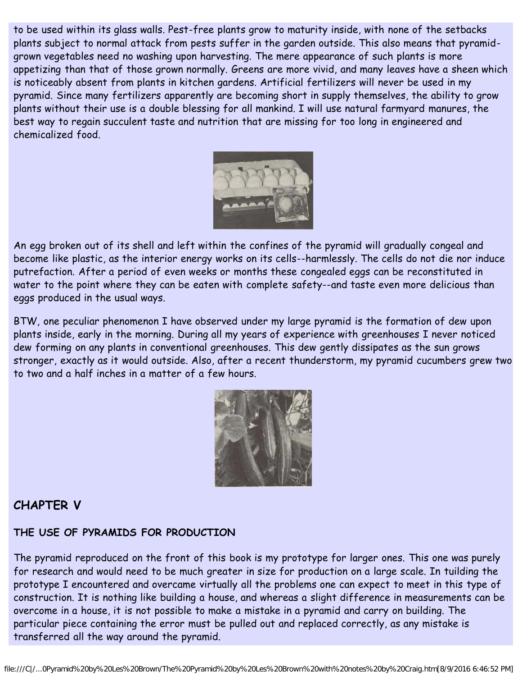to be used within its glass walls. Pest-free plants grow to maturity inside, with none of the setbacks plants subject to normal attack from pests suffer in the garden outside. This also means that pyramidgrown vegetables need no washing upon harvesting. The mere appearance of such plants is more appetizing than that of those grown normally. Greens are more vivid, and many leaves have a sheen which is noticeably absent from plants in kitchen gardens. Artificial fertilizers will never be used in my pyramid. Since many fertilizers apparently are becoming short in supply themselves, the ability to grow plants without their use is a double blessing for all mankind. I will use natural farmyard manures, the best way to regain succulent taste and nutrition that are missing for too long in engineered and chemicalized food.



An egg broken out of its shell and left within the confines of the pyramid will gradually congeal and become like plastic, as the interior energy works on its cells--harmlessly. The cells do not die nor induce putrefaction. After a period of even weeks or months these congealed eggs can be reconstituted in water to the point where they can be eaten with complete safety--and taste even more delicious than eggs produced in the usual ways.

BTW, one peculiar phenomenon I have observed under my large pyramid is the formation of dew upon plants inside, early in the morning. During all my years of experience with greenhouses I never noticed dew forming on any plants in conventional greenhouses. This dew gently dissipates as the sun grows stronger, exactly as it would outside. Also, after a recent thunderstorm, my pyramid cucumbers grew two to two and a half inches in a matter of a few hours.



### **CHAPTER V**

### **THE USE OF PYRAMIDS FOR PRODUCTION**

The pyramid reproduced on the front of this book is my prototype for larger ones. This one was purely for research and would need to be much greater in size for production on a large scale. In tuilding the prototype I encountered and overcame virtually all the problems one can expect to meet in this type of construction. It is nothing like building a house, and whereas a slight difference in measurements can be overcome in a house, it is not possible to make a mistake in a pyramid and carry on building. The particular piece containing the error must be pulled out and replaced correctly, as any mistake is transferred all the way around the pyramid.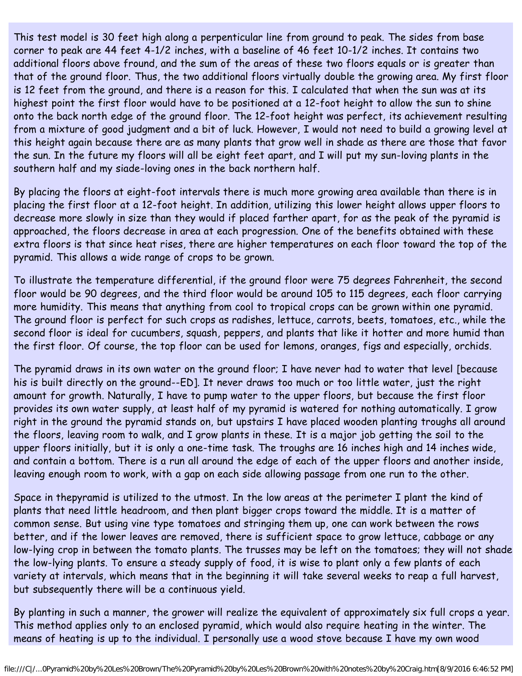This test model is 30 feet high along a perpenticular line from ground to peak. The sides from base corner to peak are 44 feet 4-1/2 inches, with a baseline of 46 feet 10-1/2 inches. It contains two additional floors above fround, and the sum of the areas of these two floors equals or is greater than that of the ground floor. Thus, the two additional floors virtually double the growing area. My first floor is 12 feet from the ground, and there is a reason for this. I calculated that when the sun was at its highest point the first floor would have to be positioned at a 12-foot height to allow the sun to shine onto the back north edge of the ground floor. The 12-foot height was perfect, its achievement resulting from a mixture of good judgment and a bit of luck. However, I would not need to build a growing level at this height again because there are as many plants that grow well in shade as there are those that favor the sun. In the future my floors will all be eight feet apart, and I will put my sun-loving plants in the southern half and my siade-loving ones in the back northern half.

By placing the floors at eight-foot intervals there is much more growing area available than there is in placing the first floor at a 12-foot height. In addition, utilizing this lower height allows upper floors to decrease more slowly in size than they would if placed farther apart, for as the peak of the pyramid is approached, the floors decrease in area at each progression. One of the benefits obtained with these extra floors is that since heat rises, there are higher temperatures on each floor toward the top of the pyramid. This allows a wide range of crops to be grown.

To illustrate the temperature differential, if the ground floor were 75 degrees Fahrenheit, the second floor would be 90 degrees, and the third floor would be around 105 to 115 degrees, each floor carrying more humidity. This means that anything from cool to tropical crops can be grown within one pyramid. The ground floor is perfect for such crops as radishes, lettuce, carrots, beets, tomatoes, etc., while the second floor is ideal for cucumbers, squash, peppers, and plants that like it hotter and more humid than the first floor. Of course, the top floor can be used for lemons, oranges, figs and especially, orchids.

The pyramid draws in its own water on the ground floor; I have never had to water that level [because his is built directly on the ground--ED]. It never draws too much or too little water, just the right amount for growth. Naturally, I have to pump water to the upper floors, but because the first floor provides its own water supply, at least half of my pyramid is watered for nothing automatically. I grow right in the ground the pyramid stands on, but upstairs I have placed wooden planting troughs all around the floors, leaving room to walk, and I grow plants in these. It is a major job getting the soil to the upper floors initially, but it is only a one-time task. The troughs are 16 inches high and 14 inches wide, and contain a bottom. There is a run all around the edge of each of the upper floors and another inside, leaving enough room to work, with a gap on each side allowing passage from one run to the other.

Space in thepyramid is utilized to the utmost. In the low areas at the perimeter I plant the kind of plants that need little headroom, and then plant bigger crops toward the middle. It is a matter of common sense. But using vine type tomatoes and stringing them up, one can work between the rows better, and if the lower leaves are removed, there is sufficient space to grow lettuce, cabbage or any low-lying crop in between the tomato plants. The trusses may be left on the tomatoes; they will not shade the low-lying plants. To ensure a steady supply of food, it is wise to plant only a few plants of each variety at intervals, which means that in the beginning it will take several weeks to reap a full harvest, but subsequently there will be a continuous yield.

By planting in such a manner, the grower will realize the equivalent of approximately six full crops a year. This method applies only to an enclosed pyramid, which would also require heating in the winter. The means of heating is up to the individual. I personally use a wood stove because I have my own wood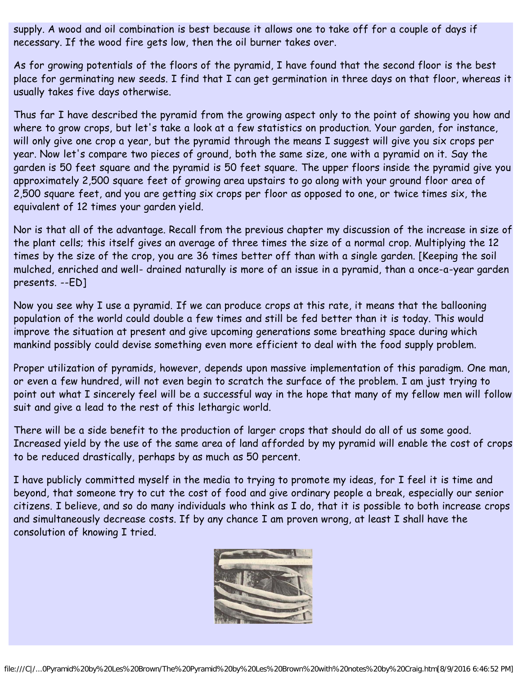supply. A wood and oil combination is best because it allows one to take off for a couple of days if necessary. If the wood fire gets low, then the oil burner takes over.

As for growing potentials of the floors of the pyramid, I have found that the second floor is the best place for germinating new seeds. I find that I can get germination in three days on that floor, whereas it usually takes five days otherwise.

Thus far I have described the pyramid from the growing aspect only to the point of showing you how and where to grow crops, but let's take a look at a few statistics on production. Your garden, for instance, will only give one crop a year, but the pyramid through the means I suggest will give you six crops per year. Now let's compare two pieces of ground, both the same size, one with a pyramid on it. Say the garden is 50 feet square and the pyramid is 50 feet square. The upper floors inside the pyramid give you approximately 2,500 square feet of growing area upstairs to go along with your ground floor area of 2,500 square feet, and you are getting six crops per floor as opposed to one, or twice times six, the equivalent of 12 times your garden yield.

Nor is that all of the advantage. Recall from the previous chapter my discussion of the increase in size of the plant cells; this itself gives an average of three times the size of a normal crop. Multiplying the 12 times by the size of the crop, you are 36 times better off than with a single garden. [Keeping the soil mulched, enriched and well- drained naturally is more of an issue in a pyramid, than a once-a-year garden presents. --ED]

Now you see why I use a pyramid. If we can produce crops at this rate, it means that the ballooning population of the world could double a few times and still be fed better than it is today. This would improve the situation at present and give upcoming generations some breathing space during which mankind possibly could devise something even more efficient to deal with the food supply problem.

Proper utilization of pyramids, however, depends upon massive implementation of this paradigm. One man, or even a few hundred, will not even begin to scratch the surface of the problem. I am just trying to point out what I sincerely feel will be a successful way in the hope that many of my fellow men will follow suit and give a lead to the rest of this lethargic world.

There will be a side benefit to the production of larger crops that should do all of us some good. Increased yield by the use of the same area of land afforded by my pyramid will enable the cost of crops to be reduced drastically, perhaps by as much as 50 percent.

I have publicly committed myself in the media to trying to promote my ideas, for I feel it is time and beyond, that someone try to cut the cost of food and give ordinary people a break, especially our senior citizens. I believe, and so do many individuals who think as I do, that it is possible to both increase crops and simultaneously decrease costs. If by any chance I am proven wrong, at least I shall have the consolution of knowing I tried.

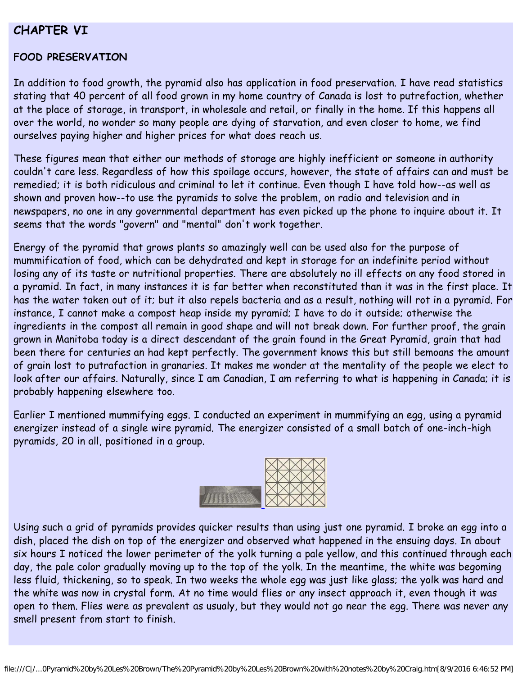### **CHAPTER VI**

#### **FOOD PRESERVATION**

In addition to food growth, the pyramid also has application in food preservation. I have read statistics stating that 40 percent of all food grown in my home country of Canada is lost to putrefaction, whether at the place of storage, in transport, in wholesale and retail, or finally in the home. If this happens all over the world, no wonder so many people are dying of starvation, and even closer to home, we find ourselves paying higher and higher prices for what does reach us.

These figures mean that either our methods of storage are highly inefficient or someone in authority couldn't care less. Regardless of how this spoilage occurs, however, the state of affairs can and must be remedied; it is both ridiculous and criminal to let it continue. Even though I have told how--as well as shown and proven how--to use the pyramids to solve the problem, on radio and television and in newspapers, no one in any governmental department has even picked up the phone to inquire about it. It seems that the words "govern" and "mental" don't work together.

Energy of the pyramid that grows plants so amazingly well can be used also for the purpose of mummification of food, which can be dehydrated and kept in storage for an indefinite period without losing any of its taste or nutritional properties. There are absolutely no ill effects on any food stored in a pyramid. In fact, in many instances it is far better when reconstituted than it was in the first place. It has the water taken out of it; but it also repels bacteria and as a result, nothing will rot in a pyramid. For instance, I cannot make a compost heap inside my pyramid; I have to do it outside; otherwise the ingredients in the compost all remain in good shape and will not break down. For further proof, the grain grown in Manitoba today is a direct descendant of the grain found in the Great Pyramid, grain that had been there for centuries an had kept perfectly. The government knows this but still bemoans the amount of grain lost to putrafaction in granaries. It makes me wonder at the mentality of the people we elect to look after our affairs. Naturally, since I am Canadian, I am referring to what is happening in Canada; it is probably happening elsewhere too.

Earlier I mentioned mummifying eggs. I conducted an experiment in mummifying an egg, using a pyramid energizer instead of a single wire pyramid. The energizer consisted of a small batch of one-inch-high pyramids, 20 in all, positioned in a group.



Using such a grid of pyramids provides quicker results than using just one pyramid. I broke an egg into a dish, placed the dish on top of the energizer and observed what happened in the ensuing days. In about six hours I noticed the lower perimeter of the yolk turning a pale yellow, and this continued through each day, the pale color gradually moving up to the top of the yolk. In the meantime, the white was begoming less fluid, thickening, so to speak. In two weeks the whole egg was just like glass; the yolk was hard and the white was now in crystal form. At no time would flies or any insect approach it, even though it was open to them. Flies were as prevalent as usualy, but they would not go near the egg. There was never any smell present from start to finish.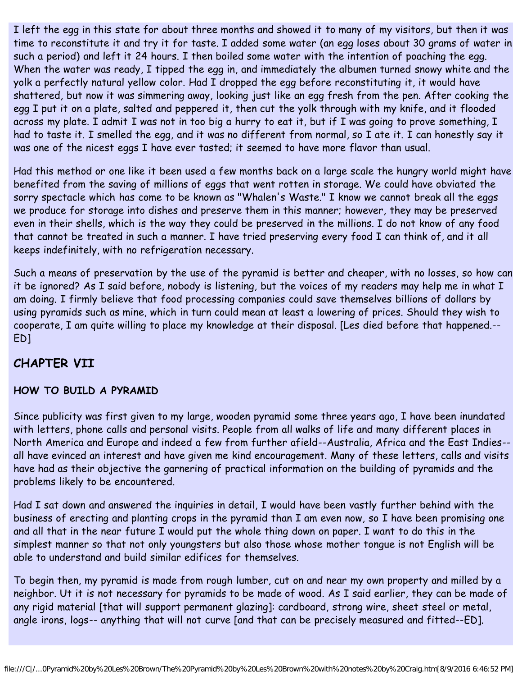I left the egg in this state for about three months and showed it to many of my visitors, but then it was time to reconstitute it and try it for taste. I added some water (an egg loses about 30 grams of water in such a period) and left it 24 hours. I then boiled some water with the intention of poaching the egg. When the water was ready, I tipped the egg in, and immediately the albumen turned snowy white and the yolk a perfectly natural yellow color. Had I dropped the egg before reconstituting it, it would have shattered, but now it was simmering away, looking just like an egg fresh from the pen. After cooking the egg I put it on a plate, salted and peppered it, then cut the yolk through with my knife, and it flooded across my plate. I admit I was not in too big a hurry to eat it, but if I was going to prove something, I had to taste it. I smelled the egg, and it was no different from normal, so I ate it. I can honestly say it was one of the nicest eggs I have ever tasted; it seemed to have more flavor than usual.

Had this method or one like it been used a few months back on a large scale the hungry world might have benefited from the saving of millions of eggs that went rotten in storage. We could have obviated the sorry spectacle which has come to be known as "Whalen's Waste." I know we cannot break all the eggs we produce for storage into dishes and preserve them in this manner; however, they may be preserved even in their shells, which is the way they could be preserved in the millions. I do not know of any food that cannot be treated in such a manner. I have tried preserving every food I can think of, and it all keeps indefinitely, with no refrigeration necessary.

Such a means of preservation by the use of the pyramid is better and cheaper, with no losses, so how can it be ignored? As I said before, nobody is listening, but the voices of my readers may help me in what I am doing. I firmly believe that food processing companies could save themselves billions of dollars by using pyramids such as mine, which in turn could mean at least a lowering of prices. Should they wish to cooperate, I am quite willing to place my knowledge at their disposal. [Les died before that happened.-- ED]

# **CHAPTER VII**

#### **HOW TO BUILD A PYRAMID**

Since publicity was first given to my large, wooden pyramid some three years ago, I have been inundated with letters, phone calls and personal visits. People from all walks of life and many different places in North America and Europe and indeed a few from further afield--Australia, Africa and the East Indies- all have evinced an interest and have given me kind encouragement. Many of these letters, calls and visits have had as their objective the garnering of practical information on the building of pyramids and the problems likely to be encountered.

Had I sat down and answered the inquiries in detail, I would have been vastly further behind with the business of erecting and planting crops in the pyramid than I am even now, so I have been promising one and all that in the near future I would put the whole thing down on paper. I want to do this in the simplest manner so that not only youngsters but also those whose mother tongue is not English will be able to understand and build similar edifices for themselves.

To begin then, my pyramid is made from rough lumber, cut on and near my own property and milled by a neighbor. Ut it is not necessary for pyramids to be made of wood. As I said earlier, they can be made of any rigid material [that will support permanent glazing]: cardboard, strong wire, sheet steel or metal, angle irons, logs-- anything that will not curve [and that can be precisely measured and fitted--ED].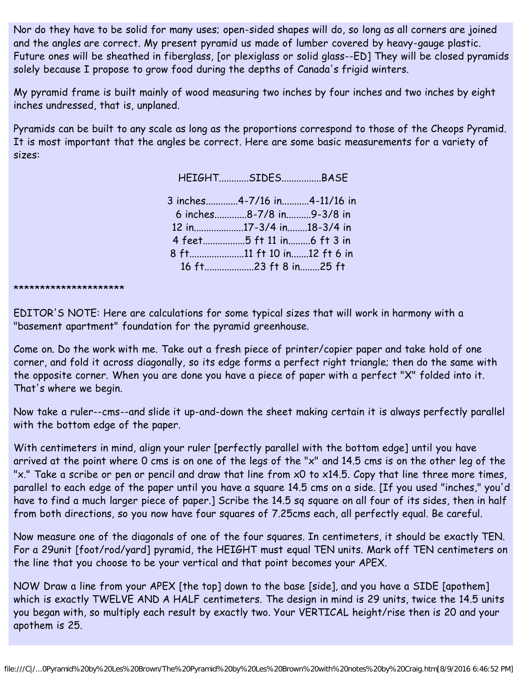Nor do they have to be solid for many uses; open-sided shapes will do, so long as all corners are joined and the angles are correct. My present pyramid us made of lumber covered by heavy-gauge plastic. Future ones will be sheathed in fiberglass, [or plexiglass or solid glass--ED] They will be closed pyramids solely because I propose to grow food during the depths of Canada's frigid winters.

My pyramid frame is built mainly of wood measuring two inches by four inches and two inches by eight inches undressed, that is, unplaned.

Pyramids can be built to any scale as long as the proportions correspond to those of the Cheops Pyramid. It is most important that the angles be correct. Here are some basic measurements for a variety of sizes:

HEIGHT............SIDES................BASE

3 inches.............4-7/16 in...........4-11/16 in 6 inches.............8-7/8 in..........9-3/8 in 12 in....................17-3/4 in........18-3/4 in 4 feet.................5 ft 11 in.........6 ft 3 in 8 ft......................11 ft 10 in.......12 ft 6 in 16 ft....................23 ft 8 in........25 ft

\*\*\*\*\*\*\*\*\*\*\*\*\*\*\*\*\*\*\*\*\*

EDITOR'S NOTE: Here are calculations for some typical sizes that will work in harmony with a "basement apartment" foundation for the pyramid greenhouse.

Come on. Do the work with me. Take out a fresh piece of printer/copier paper and take hold of one corner, and fold it across diagonally, so its edge forms a perfect right triangle; then do the same with the opposite corner. When you are done you have a piece of paper with a perfect "X" folded into it. That's where we begin.

Now take a ruler--cms--and slide it up-and-down the sheet making certain it is always perfectly parallel with the bottom edge of the paper.

With centimeters in mind, align your ruler [perfectly parallel with the bottom edge] until you have arrived at the point where 0 cms is on one of the legs of the "x" and 14.5 cms is on the other leg of the "x." Take a scribe or pen or pencil and draw that line from x0 to x14.5. Copy that line three more times, parallel to each edge of the paper until you have a square 14.5 cms on a side. [If you used "inches," you'd have to find a much larger piece of paper.] Scribe the 14.5 sq square on all four of its sides, then in half from both directions, so you now have four squares of 7.25cms each, all perfectly equal. Be careful.

Now measure one of the diagonals of one of the four squares. In centimeters, it should be exactly TEN. For a 29unit [foot/rod/yard] pyramid, the HEIGHT must equal TEN units. Mark off TEN centimeters on the line that you choose to be your vertical and that point becomes your APEX.

NOW Draw a line from your APEX [the top] down to the base [side], and you have a SIDE [apothem] which is exactly TWELVE AND A HALF centimeters. The design in mind is 29 units, twice the 14.5 units you began with, so multiply each result by exactly two. Your VERTICAL height/rise then is 20 and your apothem is 25.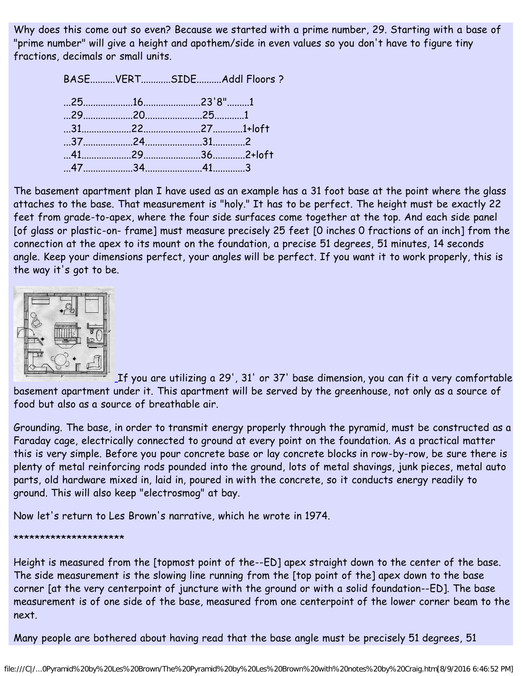Why does this come out so even? Because we started with a prime number, 29. Starting with a base of "prime number" will give a height and apothem/side in even values so you don't have to figure tiny fractions, decimals or small units.

> BASE..........VERT............SIDE..........Addl Floors ? ...25....................16.......................23'8".........1 ...29....................20.......................25............1 ...31....................22.......................27............1+loft ...37....................24.......................31.............2 ...41....................29.......................36.............2+loft ...47....................34.......................41.............3

The basement apartment plan I have used as an example has a 31 foot base at the point where the glass attaches to the base. That measurement is "holy." It has to be perfect. The height must be exactly 22 feet from grade-to-apex, where the four side surfaces come together at the top. And each side panel [of glass or plastic-on- frame] must measure precisely 25 feet [O inches 0 fractions of an inch] from the connection at the apex to its mount on the foundation, a precise 51 degrees, 51 minutes, 14 seconds angle. Keep your dimensions perfect, your angles will be perfect. If you want it to work properly, this is the way it's got to be.



[I](https://web.archive.org/web/20051212110816/http://www.holyconservancy.org/images/pyramids/CraggspyramidB.jpg)f you are utilizing a 29', 31' or 37' base dimension, you can fit a very comfortable basement apartment under it. This apartment will be served by the greenhouse, not only as a source of food but also as a source of breathable air.

Grounding. The base, in order to transmit energy properly through the pyramid, must be constructed as a Faraday cage, electrically connected to ground at every point on the foundation. As a practical matter this is very simple. Before you pour concrete base or lay concrete blocks in row-by-row, be sure there is plenty of metal reinforcing rods pounded into the ground, lots of metal shavings, junk pieces, metal auto parts, old hardware mixed in, laid in, poured in with the concrete, so it conducts energy readily to ground. This will also keep "electrosmog" at bay.

Now let's return to Les Brown's narrative, which he wrote in 1974.

\*\*\*\*\*\*\*\*\*\*\*\*\*\*\*\*\*\*\*\*\*

Height is measured from the [topmost point of the--ED] apex straight down to the center of the base. The side measurement is the slowing line running from the [top point of the] apex down to the base corner [at the very centerpoint of juncture with the ground or with a solid foundation--ED]. The base measurement is of one side of the base, measured from one centerpoint of the lower corner beam to the next.

Many people are bothered about having read that the base angle must be precisely 51 degrees, 51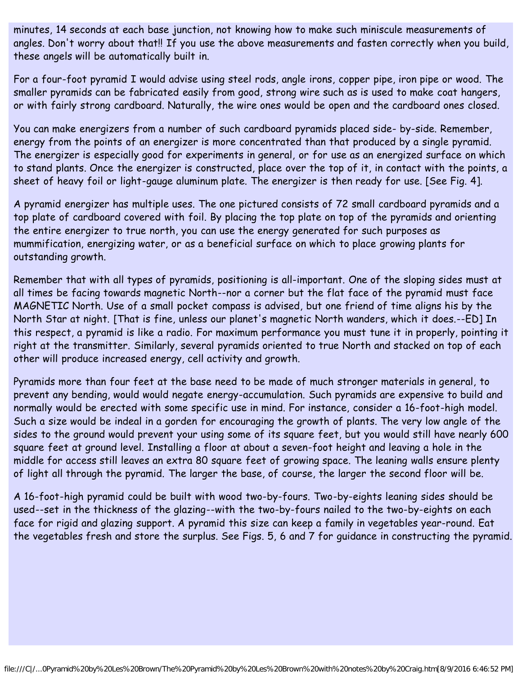minutes, 14 seconds at each base junction, not knowing how to make such miniscule measurements of angles. Don't worry about that!! If you use the above measurements and fasten correctly when you build, these angels will be automatically built in.

For a four-foot pyramid I would advise using steel rods, angle irons, copper pipe, iron pipe or wood. The smaller pyramids can be fabricated easily from good, strong wire such as is used to make coat hangers, or with fairly strong cardboard. Naturally, the wire ones would be open and the cardboard ones closed.

You can make energizers from a number of such cardboard pyramids placed side- by-side. Remember, energy from the points of an energizer is more concentrated than that produced by a single pyramid. The energizer is especially good for experiments in general, or for use as an energized surface on which to stand plants. Once the energizer is constructed, place over the top of it, in contact with the points, a sheet of heavy foil or light-gauge aluminum plate. The energizer is then ready for use. [See Fig. 4].

A pyramid energizer has multiple uses. The one pictured consists of 72 small cardboard pyramids and a top plate of cardboard covered with foil. By placing the top plate on top of the pyramids and orienting the entire energizer to true north, you can use the energy generated for such purposes as mummification, energizing water, or as a beneficial surface on which to place growing plants for outstanding growth.

Remember that with all types of pyramids, positioning is all-important. One of the sloping sides must at all times be facing towards magnetic North--nor a corner but the flat face of the pyramid must face MAGNETIC North. Use of a small pocket compass is advised, but one friend of time aligns his by the North Star at night. [That is fine, unless our planet's magnetic North wanders, which it does.--ED] In this respect, a pyramid is like a radio. For maximum performance you must tune it in properly, pointing it right at the transmitter. Similarly, several pyramids oriented to true North and stacked on top of each other will produce increased energy, cell activity and growth.

Pyramids more than four feet at the base need to be made of much stronger materials in general, to prevent any bending, would would negate energy-accumulation. Such pyramids are expensive to build and normally would be erected with some specific use in mind. For instance, consider a 16-foot-high model. Such a size would be indeal in a gorden for encouraging the growth of plants. The very low angle of the sides to the ground would prevent your using some of its square feet, but you would still have nearly 600 square feet at ground level. Installing a floor at about a seven-foot height and leaving a hole in the middle for access still leaves an extra 80 square feet of growing space. The leaning walls ensure plenty of light all through the pyramid. The larger the base, of course, the larger the second floor will be.

A 16-foot-high pyramid could be built with wood two-by-fours. Two-by-eights leaning sides should be used--set in the thickness of the glazing--with the two-by-fours nailed to the two-by-eights on each face for rigid and glazing support. A pyramid this size can keep a family in vegetables year-round. Eat the vegetables fresh and store the surplus. See Figs. 5, 6 and 7 for guidance in constructing the pyramid.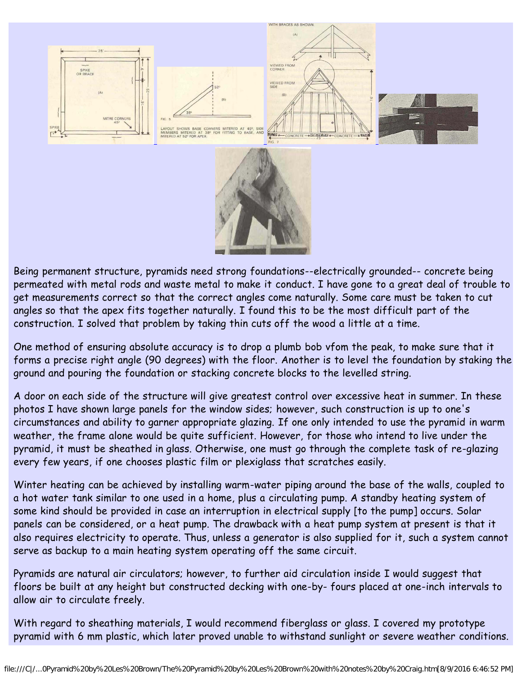

Being permanent structure, pyramids need strong foundations--electrically grounded-- concrete being permeated with metal rods and waste metal to make it conduct. I have gone to a great deal of trouble to get measurements correct so that the correct angles come naturally. Some care must be taken to cut angles so that the apex fits together naturally. I found this to be the most difficult part of the construction. I solved that problem by taking thin cuts off the wood a little at a time.

One method of ensuring absolute accuracy is to drop a plumb bob vfom the peak, to make sure that it forms a precise right angle (90 degrees) with the floor. Another is to level the foundation by staking the ground and pouring the foundation or stacking concrete blocks to the levelled string.

A door on each side of the structure will give greatest control over excessive heat in summer. In these photos I have shown large panels for the window sides; however, such construction is up to one's circumstances and ability to garner appropriate glazing. If one only intended to use the pyramid in warm weather, the frame alone would be quite sufficient. However, for those who intend to live under the pyramid, it must be sheathed in glass. Otherwise, one must go through the complete task of re-glazing every few years, if one chooses plastic film or plexiglass that scratches easily.

Winter heating can be achieved by installing warm-water piping around the base of the walls, coupled to a hot water tank similar to one used in a home, plus a circulating pump. A standby heating system of some kind should be provided in case an interruption in electrical supply [to the pump] occurs. Solar panels can be considered, or a heat pump. The drawback with a heat pump system at present is that it also requires electricity to operate. Thus, unless a generator is also supplied for it, such a system cannot serve as backup to a main heating system operating off the same circuit.

Pyramids are natural air circulators; however, to further aid circulation inside I would suggest that floors be built at any height but constructed decking with one-by- fours placed at one-inch intervals to allow air to circulate freely.

With regard to sheathing materials, I would recommend fiberglass or glass. I covered my prototype pyramid with 6 mm plastic, which later proved unable to withstand sunlight or severe weather conditions.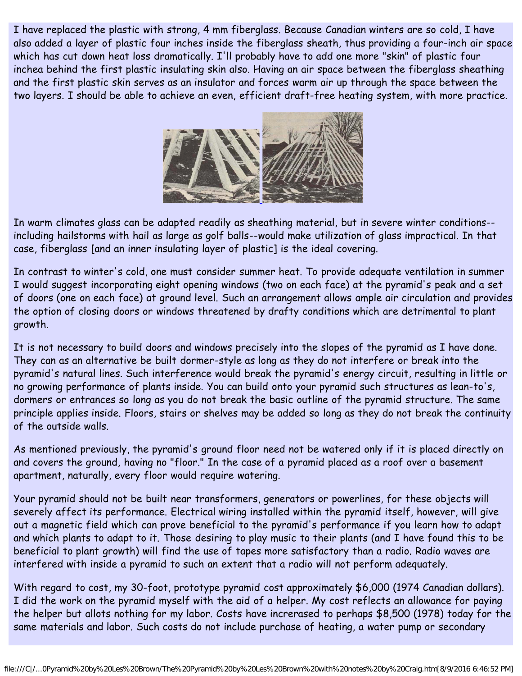I have replaced the plastic with strong, 4 mm fiberglass. Because Canadian winters are so cold, I have also added a layer of plastic four inches inside the fiberglass sheath, thus providing a four-inch air space which has cut down heat loss dramatically. I'll probably have to add one more "skin" of plastic four inchea behind the first plastic insulating skin also. Having an air space between the fiberglass sheathing and the first plastic skin serves as an insulator and forces warm air up through the space between the two layers. I should be able to achieve an even, efficient draft-free heating system, with more practice.



In warm climates glass can be adapted readily as sheathing material, but in severe winter conditions- including hailstorms with hail as large as golf balls--would make utilization of glass impractical. In that case, fiberglass [and an inner insulating layer of plastic] is the ideal covering.

In contrast to winter's cold, one must consider summer heat. To provide adequate ventilation in summer I would suggest incorporating eight opening windows (two on each face) at the pyramid's peak and a set of doors (one on each face) at ground level. Such an arrangement allows ample air circulation and provides the option of closing doors or windows threatened by drafty conditions which are detrimental to plant growth.

It is not necessary to build doors and windows precisely into the slopes of the pyramid as I have done. They can as an alternative be built dormer-style as long as they do not interfere or break into the pyramid's natural lines. Such interference would break the pyramid's energy circuit, resulting in little or no growing performance of plants inside. You can build onto your pyramid such structures as lean-to's, dormers or entrances so long as you do not break the basic outline of the pyramid structure. The same principle applies inside. Floors, stairs or shelves may be added so long as they do not break the continuity of the outside walls.

As mentioned previously, the pyramid's ground floor need not be watered only if it is placed directly on and covers the ground, having no "floor." In the case of a pyramid placed as a roof over a basement apartment, naturally, every floor would require watering.

Your pyramid should not be built near transformers, generators or powerlines, for these objects will severely affect its performance. Electrical wiring installed within the pyramid itself, however, will give out a magnetic field which can prove beneficial to the pyramid's performance if you learn how to adapt and which plants to adapt to it. Those desiring to play music to their plants (and I have found this to be beneficial to plant growth) will find the use of tapes more satisfactory than a radio. Radio waves are interfered with inside a pyramid to such an extent that a radio will not perform adequately.

With regard to cost, my 30-foot, prototype pyramid cost approximately \$6,000 (1974 Canadian dollars). I did the work on the pyramid myself with the aid of a helper. My cost reflects an allowance for paying the helper but allots nothing for my labor. Costs have increrased to perhaps \$8,500 (1978) today for the same materials and labor. Such costs do not include purchase of heating, a water pump or secondary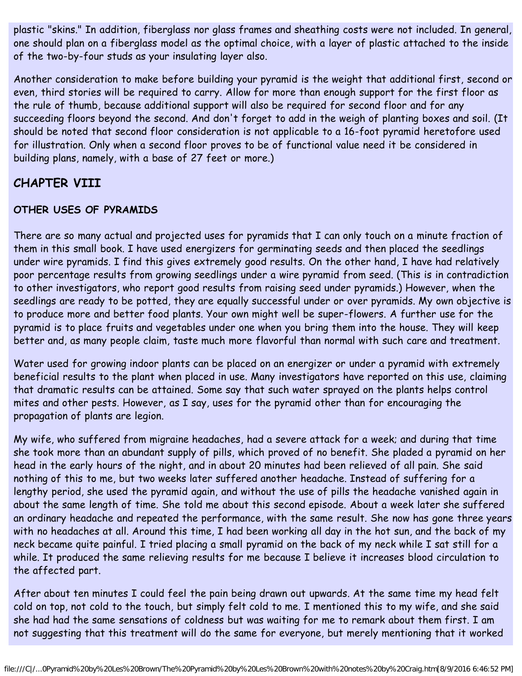plastic "skins." In addition, fiberglass nor glass frames and sheathing costs were not included. In general, one should plan on a fiberglass model as the optimal choice, with a layer of plastic attached to the inside of the two-by-four studs as your insulating layer also.

Another consideration to make before building your pyramid is the weight that additional first, second or even, third stories will be required to carry. Allow for more than enough support for the first floor as the rule of thumb, because additional support will also be required for second floor and for any succeeding floors beyond the second. And don't forget to add in the weigh of planting boxes and soil. (It should be noted that second floor consideration is not applicable to a 16-foot pyramid heretofore used for illustration. Only when a second floor proves to be of functional value need it be considered in building plans, namely, with a base of 27 feet or more.)

# **CHAPTER VIII**

#### **OTHER USES OF PYRAMIDS**

There are so many actual and projected uses for pyramids that I can only touch on a minute fraction of them in this small book. I have used energizers for germinating seeds and then placed the seedlings under wire pyramids. I find this gives extremely good results. On the other hand, I have had relatively poor percentage results from growing seedlings under a wire pyramid from seed. (This is in contradiction to other investigators, who report good results from raising seed under pyramids.) However, when the seedlings are ready to be potted, they are equally successful under or over pyramids. My own objective is to produce more and better food plants. Your own might well be super-flowers. A further use for the pyramid is to place fruits and vegetables under one when you bring them into the house. They will keep better and, as many people claim, taste much more flavorful than normal with such care and treatment.

Water used for growing indoor plants can be placed on an energizer or under a pyramid with extremely beneficial results to the plant when placed in use. Many investigators have reported on this use, claiming that dramatic results can be attained. Some say that such water sprayed on the plants helps control mites and other pests. However, as I say, uses for the pyramid other than for encouraging the propagation of plants are legion.

My wife, who suffered from migraine headaches, had a severe attack for a week; and during that time she took more than an abundant supply of pills, which proved of no benefit. She pladed a pyramid on her head in the early hours of the night, and in about 20 minutes had been relieved of all pain. She said nothing of this to me, but two weeks later suffered another headache. Instead of suffering for a lengthy period, she used the pyramid again, and without the use of pills the headache vanished again in about the same length of time. She told me about this second episode. About a week later she suffered an ordinary headache and repeated the performance, with the same result. She now has gone three years with no headaches at all. Around this time, I had been working all day in the hot sun, and the back of my neck became quite painful. I tried placing a small pyramid on the back of my neck while I sat still for a while. It produced the same relieving results for me because I believe it increases blood circulation to the affected part.

After about ten minutes I could feel the pain being drawn out upwards. At the same time my head felt cold on top, not cold to the touch, but simply felt cold to me. I mentioned this to my wife, and she said she had had the same sensations of coldness but was waiting for me to remark about them first. I am not suggesting that this treatment will do the same for everyone, but merely mentioning that it worked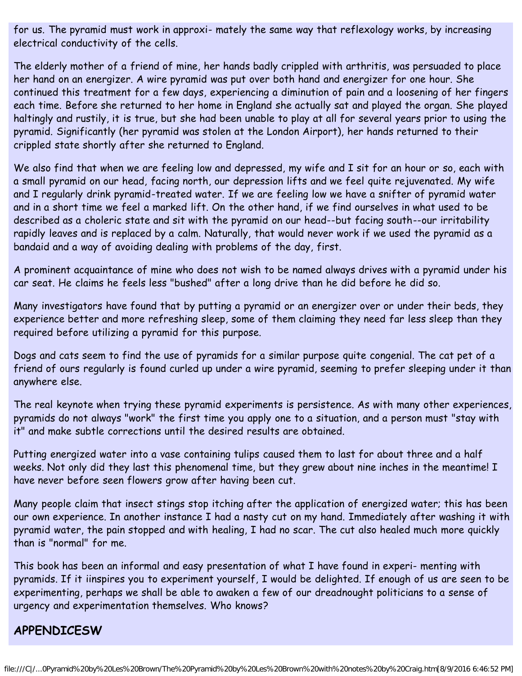for us. The pyramid must work in approxi- mately the same way that reflexology works, by increasing electrical conductivity of the cells.

The elderly mother of a friend of mine, her hands badly crippled with arthritis, was persuaded to place her hand on an energizer. A wire pyramid was put over both hand and energizer for one hour. She continued this treatment for a few days, experiencing a diminution of pain and a loosening of her fingers each time. Before she returned to her home in England she actually sat and played the organ. She played haltingly and rustily, it is true, but she had been unable to play at all for several years prior to using the pyramid. Significantly (her pyramid was stolen at the London Airport), her hands returned to their crippled state shortly after she returned to England.

We also find that when we are feeling low and depressed, my wife and I sit for an hour or so, each with a small pyramid on our head, facing north, our depression lifts and we feel quite rejuvenated. My wife and I regularly drink pyramid-treated water. If we are feeling low we have a snifter of pyramid water and in a short time we feel a marked lift. On the other hand, if we find ourselves in what used to be described as a choleric state and sit with the pyramid on our head--but facing south--our irritability rapidly leaves and is replaced by a calm. Naturally, that would never work if we used the pyramid as a bandaid and a way of avoiding dealing with problems of the day, first.

A prominent acquaintance of mine who does not wish to be named always drives with a pyramid under his car seat. He claims he feels less "bushed" after a long drive than he did before he did so.

Many investigators have found that by putting a pyramid or an energizer over or under their beds, they experience better and more refreshing sleep, some of them claiming they need far less sleep than they required before utilizing a pyramid for this purpose.

Dogs and cats seem to find the use of pyramids for a similar purpose quite congenial. The cat pet of a friend of ours regularly is found curled up under a wire pyramid, seeming to prefer sleeping under it than anywhere else.

The real keynote when trying these pyramid experiments is persistence. As with many other experiences, pyramids do not always "work" the first time you apply one to a situation, and a person must "stay with it" and make subtle corrections until the desired results are obtained.

Putting energized water into a vase containing tulips caused them to last for about three and a half weeks. Not only did they last this phenomenal time, but they grew about nine inches in the meantime! I have never before seen flowers grow after having been cut.

Many people claim that insect stings stop itching after the application of energized water; this has been our own experience. In another instance I had a nasty cut on my hand. Immediately after washing it with pyramid water, the pain stopped and with healing, I had no scar. The cut also healed much more quickly than is "normal" for me.

This book has been an informal and easy presentation of what I have found in experi- menting with pyramids. If it iinspires you to experiment yourself, I would be delighted. If enough of us are seen to be experimenting, perhaps we shall be able to awaken a few of our dreadnought politicians to a sense of urgency and experimentation themselves. Who knows?

# **APPENDICESW**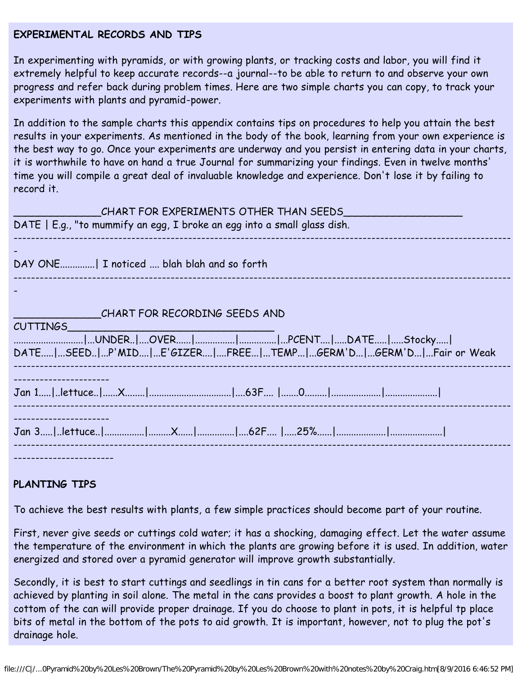#### **EXPERIMENTAL RECORDS AND TIPS**

In experimenting with pyramids, or with growing plants, or tracking costs and labor, you will find it extremely helpful to keep accurate records--a journal--to be able to return to and observe your own progress and refer back during problem times. Here are two simple charts you can copy, to track your experiments with plants and pyramid-power.

In addition to the sample charts this appendix contains tips on procedures to help you attain the best results in your experiments. As mentioned in the body of the book, learning from your own experience is the best way to go. Once your experiments are underway and you persist in entering data in your charts, it is worthwhile to have on hand a true Journal for summarizing your findings. Even in twelve months' time you will compile a great deal of invaluable knowledge and experience. Don't lose it by failing to record it.

| CHART FOR EXPERIMENTS OTHER THAN SEEDS<br>DATE   E.g., "to mummify an egg, I broke an egg into a small glass dish.                                  |
|-----------------------------------------------------------------------------------------------------------------------------------------------------|
| DAY ONE  I noticed  blah blah and so forth                                                                                                          |
|                                                                                                                                                     |
| CHART FOR RECORDING SEEDS AND<br><b>CUTTINGS</b><br> UNDER OVER  PCENT DATE Stocky <br>DATE SEED P'MID E'GIZER FREE TEMP GERM'D GERM'D Fair or Weak |
|                                                                                                                                                     |
|                                                                                                                                                     |
|                                                                                                                                                     |

#### **PLANTING TIPS**

To achieve the best results with plants, a few simple practices should become part of your routine.

First, never give seeds or cuttings cold water; it has a shocking, damaging effect. Let the water assume the temperature of the environment in which the plants are growing before it is used. In addition, water energized and stored over a pyramid generator will improve growth substantially.

Secondly, it is best to start cuttings and seedlings in tin cans for a better root system than normally is achieved by planting in soil alone. The metal in the cans provides a boost to plant growth. A hole in the cottom of the can will provide proper drainage. If you do choose to plant in pots, it is helpful tp place bits of metal in the bottom of the pots to aid growth. It is important, however, not to plug the pot's drainage hole.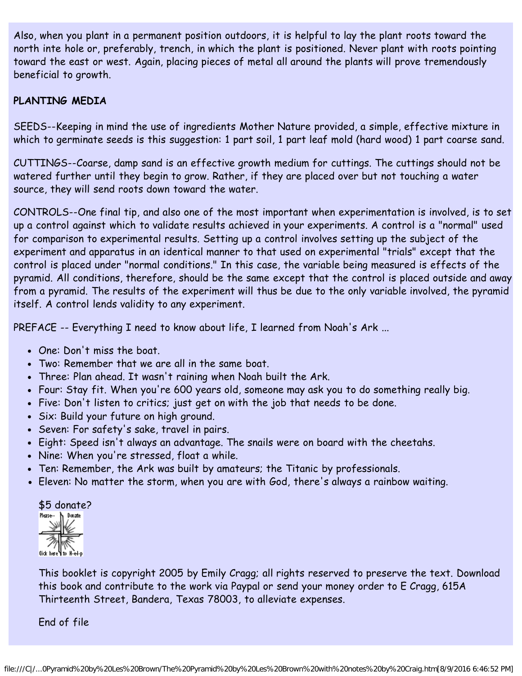Also, when you plant in a permanent position outdoors, it is helpful to lay the plant roots toward the north inte hole or, preferably, trench, in which the plant is positioned. Never plant with roots pointing toward the east or west. Again, placing pieces of metal all around the plants will prove tremendously beneficial to growth.

#### **PLANTING MEDIA**

SEEDS--Keeping in mind the use of ingredients Mother Nature provided, a simple, effective mixture in which to germinate seeds is this suggestion: 1 part soil, 1 part leaf mold (hard wood) 1 part coarse sand.

CUTTINGS--Coarse, damp sand is an effective growth medium for cuttings. The cuttings should not be watered further until they begin to grow. Rather, if they are placed over but not touching a water source, they will send roots down toward the water.

CONTROLS--One final tip, and also one of the most important when experimentation is involved, is to set up a control against which to validate results achieved in your experiments. A control is a "normal" used for comparison to experimental results. Setting up a control involves setting up the subject of the experiment and apparatus in an identical manner to that used on experimental "trials" except that the control is placed under "normal conditions." In this case, the variable being measured is effects of the pyramid. All conditions, therefore, should be the same except that the control is placed outside and away from a pyramid. The results of the experiment will thus be due to the only variable involved, the pyramid itself. A control lends validity to any experiment.

PREFACE -- Everything I need to know about life, I learned from Noah's Ark ...

- One: Don't miss the boat.
- Two: Remember that we are all in the same boat.
- Three: Plan ahead. It wasn't raining when Noah built the Ark.
- Four: Stay fit. When you're 600 years old, someone may ask you to do something really big.
- Five: Don't listen to critics; just get on with the job that needs to be done.
- Six: Build your future on high ground.
- Seven: For safety's sake, travel in pairs.
- Eight: Speed isn't always an advantage. The snails were on board with the cheetahs.
- Nine: When you're stressed, float a while.
- Ten: Remember, the Ark was built by amateurs; the Titanic by professionals.
- Eleven: No matter the storm, when you are with God, there's always a rainbow waiting.

#### \$5 donate?

Mease- h Donate

This booklet is copyright 2005 by Emily Cragg; all rights reserved to preserve the text. Download this book and contribute to the work via Paypal or send your money order to E Cragg, 615A Thirteenth Street, Bandera, Texas 78003, to alleviate expenses.

End of file